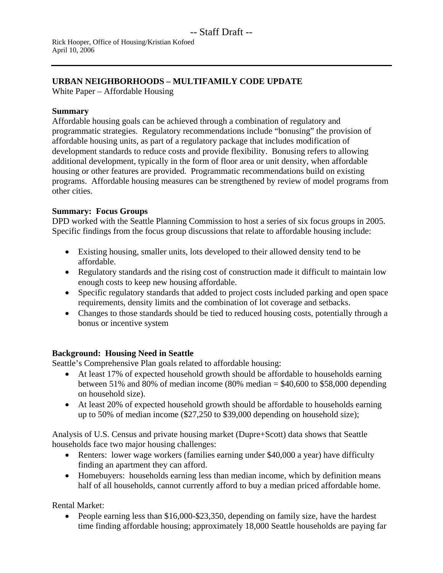# **URBAN NEIGHBORHOODS – MULTIFAMILY CODE UPDATE**

White Paper – Affordable Housing

### **Summary**

Affordable housing goals can be achieved through a combination of regulatory and programmatic strategies. Regulatory recommendations include "bonusing" the provision of affordable housing units, as part of a regulatory package that includes modification of development standards to reduce costs and provide flexibility. Bonusing refers to allowing additional development, typically in the form of floor area or unit density, when affordable housing or other features are provided. Programmatic recommendations build on existing programs. Affordable housing measures can be strengthened by review of model programs from other cities.

## **Summary: Focus Groups**

DPD worked with the Seattle Planning Commission to host a series of six focus groups in 2005. Specific findings from the focus group discussions that relate to affordable housing include:

- Existing housing, smaller units, lots developed to their allowed density tend to be affordable.
- Regulatory standards and the rising cost of construction made it difficult to maintain low enough costs to keep new housing affordable.
- Specific regulatory standards that added to project costs included parking and open space requirements, density limits and the combination of lot coverage and setbacks.
- Changes to those standards should be tied to reduced housing costs, potentially through a bonus or incentive system

## **Background: Housing Need in Seattle**

Seattle's Comprehensive Plan goals related to affordable housing:

- At least 17% of expected household growth should be affordable to households earning between 51% and 80% of median income (80% median  $=$  \$40,600 to \$58,000 depending on household size).
- At least 20% of expected household growth should be affordable to households earning up to 50% of median income (\$27,250 to \$39,000 depending on household size);

Analysis of U.S. Census and private housing market (Dupre+Scott) data shows that Seattle households face two major housing challenges:

- Renters: lower wage workers (families earning under \$40,000 a year) have difficulty finding an apartment they can afford.
- Homebuyers: households earning less than median income, which by definition means half of all households, cannot currently afford to buy a median priced affordable home.

Rental Market:

• People earning less than \$16,000-\$23,350, depending on family size, have the hardest time finding affordable housing; approximately 18,000 Seattle households are paying far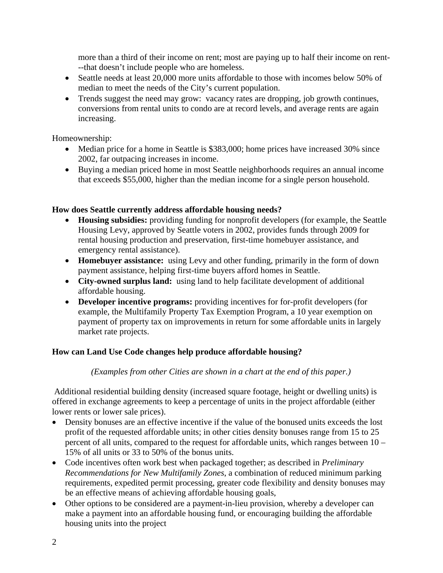more than a third of their income on rent; most are paying up to half their income on rent- --that doesn't include people who are homeless.

- Seattle needs at least 20,000 more units affordable to those with incomes below 50% of median to meet the needs of the City's current population.
- Trends suggest the need may grow: vacancy rates are dropping, job growth continues, conversions from rental units to condo are at record levels, and average rents are again increasing.

Homeownership:

- Median price for a home in Seattle is \$383,000; home prices have increased 30% since 2002, far outpacing increases in income.
- Buying a median priced home in most Seattle neighborhoods requires an annual income that exceeds \$55,000, higher than the median income for a single person household.

#### **How does Seattle currently address affordable housing needs?**

- **Housing subsidies:** providing funding for nonprofit developers (for example, the Seattle Housing Levy, approved by Seattle voters in 2002, provides funds through 2009 for rental housing production and preservation, first-time homebuyer assistance, and emergency rental assistance).
- **Homebuyer assistance:** using Levy and other funding, primarily in the form of down payment assistance, helping first-time buyers afford homes in Seattle.
- **City-owned surplus land:** using land to help facilitate development of additional affordable housing.
- **Developer incentive programs:** providing incentives for for-profit developers (for example, the Multifamily Property Tax Exemption Program, a 10 year exemption on payment of property tax on improvements in return for some affordable units in largely market rate projects.

## **How can Land Use Code changes help produce affordable housing?**

#### *(Examples from other Cities are shown in a chart at the end of this paper.)*

Additional residential building density (increased square footage, height or dwelling units) is offered in exchange agreements to keep a percentage of units in the project affordable (either lower rents or lower sale prices).

- Density bonuses are an effective incentive if the value of the bonused units exceeds the lost profit of the requested affordable units; in other cities density bonuses range from 15 to 25 percent of all units, compared to the request for affordable units, which ranges between 10 – 15% of all units or 33 to 50% of the bonus units.
- Code incentives often work best when packaged together; as described in *Preliminary Recommendations for New Multifamily Zones*, a combination of reduced minimum parking requirements, expedited permit processing, greater code flexibility and density bonuses may be an effective means of achieving affordable housing goals,
- Other options to be considered are a payment-in-lieu provision, whereby a developer can make a payment into an affordable housing fund, or encouraging building the affordable housing units into the project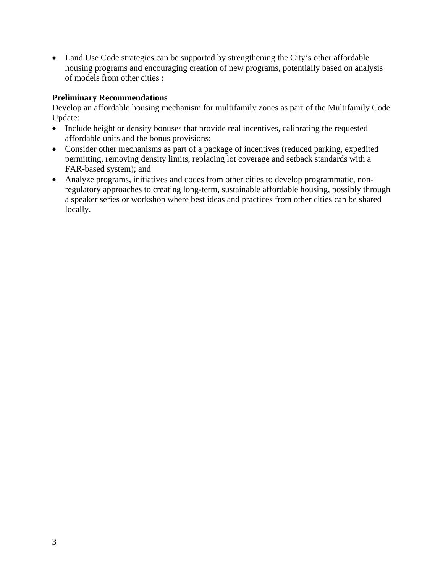• Land Use Code strategies can be supported by strengthening the City's other affordable housing programs and encouraging creation of new programs, potentially based on analysis of models from other cities :

#### **Preliminary Recommendations**

Develop an affordable housing mechanism for multifamily zones as part of the Multifamily Code Update:

- Include height or density bonuses that provide real incentives, calibrating the requested affordable units and the bonus provisions;
- Consider other mechanisms as part of a package of incentives (reduced parking, expedited permitting, removing density limits, replacing lot coverage and setback standards with a FAR-based system); and
- Analyze programs, initiatives and codes from other cities to develop programmatic, nonregulatory approaches to creating long-term, sustainable affordable housing, possibly through a speaker series or workshop where best ideas and practices from other cities can be shared locally.